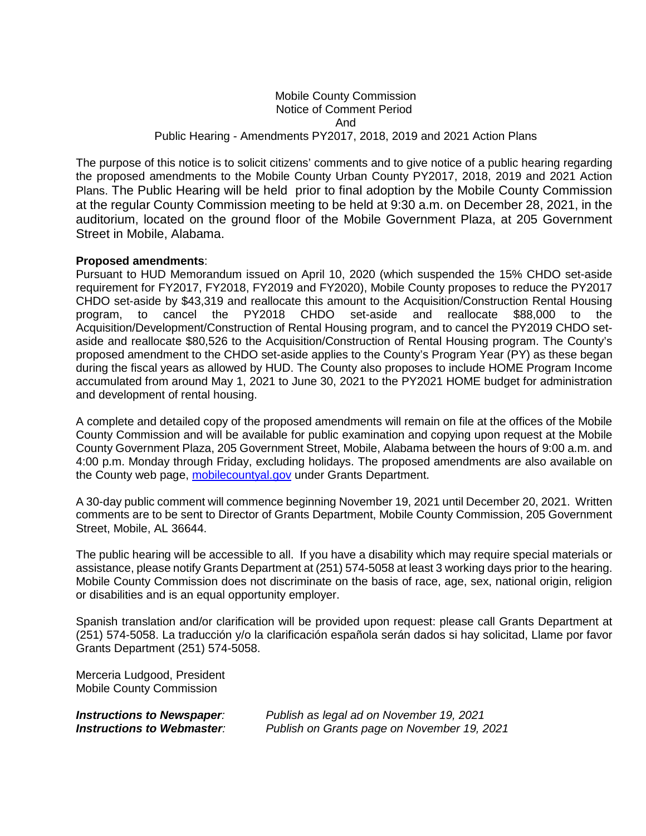## Mobile County Commission Notice of Comment Period And Public Hearing - Amendments PY2017, 2018, 2019 and 2021 Action Plans

The purpose of this notice is to solicit citizens' comments and to give notice of a public hearing regarding the proposed amendments to the Mobile County Urban County PY2017, 2018, 2019 and 2021 Action Plans. The Public Hearing will be held prior to final adoption by the Mobile County Commission at the regular County Commission meeting to be held at 9:30 a.m. on December 28, 2021, in the auditorium, located on the ground floor of the Mobile Government Plaza, at 205 Government Street in Mobile, Alabama.

### **Proposed amendments**:

Pursuant to HUD Memorandum issued on April 10, 2020 (which suspended the 15% CHDO set-aside requirement for FY2017, FY2018, FY2019 and FY2020), Mobile County proposes to reduce the PY2017 CHDO set-aside by \$43,319 and reallocate this amount to the Acquisition/Construction Rental Housing<br>program, to cancel the PY2018 CHDO set-aside and reallocate \$88.000 to the program, to cancel the PY2018 CHDO set-aside and reallocate \$88,000 to the Acquisition/Development/Construction of Rental Housing program, and to cancel the PY2019 CHDO setaside and reallocate \$80,526 to the Acquisition/Construction of Rental Housing program. The County's proposed amendment to the CHDO set-aside applies to the County's Program Year (PY) as these began during the fiscal years as allowed by HUD. The County also proposes to include HOME Program Income accumulated from around May 1, 2021 to June 30, 2021 to the PY2021 HOME budget for administration and development of rental housing.

A complete and detailed copy of the proposed amendments will remain on file at the offices of the Mobile County Commission and will be available for public examination and copying upon request at the Mobile County Government Plaza, 205 Government Street, Mobile, Alabama between the hours of 9:00 a.m. and 4:00 p.m. Monday through Friday, excluding holidays. The proposed amendments are also available on the County web page, mobilecountyal.gov under Grants Department.

A 30-day public comment will commence beginning November 19, 2021 until December 20, 2021. Written comments are to be sent to Director of Grants Department, Mobile County Commission, 205 Government Street, Mobile, AL 36644.

The public hearing will be accessible to all. If you have a disability which may require special materials or assistance, please notify Grants Department at (251) 574-5058 at least 3 working days prior to the hearing. Mobile County Commission does not discriminate on the basis of race, age, sex, national origin, religion or disabilities and is an equal opportunity employer.

Spanish translation and/or clarification will be provided upon request: please call Grants Department at (251) 574-5058. La traducción y/o la clarificación española serán dados si hay solicitad, Llame por favor Grants Department (251) 574-5058.

Merceria Ludgood, President Mobile County Commission

| <b>Instructions to Newspaper:</b> | Publish as legal ad on November 19, 2021    |  |  |
|-----------------------------------|---------------------------------------------|--|--|
| <b>Instructions to Webmaster:</b> | Publish on Grants page on November 19, 2021 |  |  |